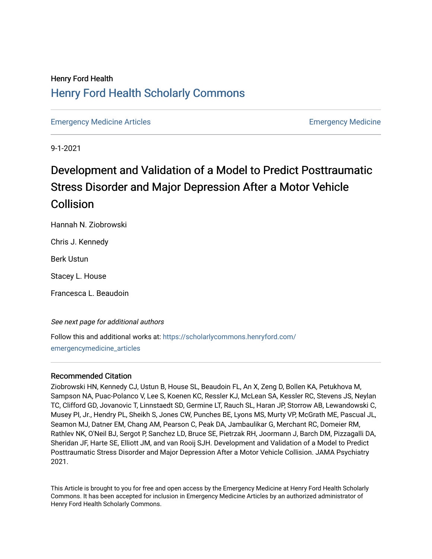## Henry Ford Health [Henry Ford Health Scholarly Commons](https://scholarlycommons.henryford.com/)

[Emergency Medicine Articles](https://scholarlycommons.henryford.com/emergencymedicine_articles) [Emergency Medicine](https://scholarlycommons.henryford.com/emergencymedicine) 

9-1-2021

# Development and Validation of a Model to Predict Posttraumatic Stress Disorder and Major Depression After a Motor Vehicle **Collision**

Hannah N. Ziobrowski

Chris J. Kennedy

Berk Ustun

Stacey L. House

Francesca L. Beaudoin

See next page for additional authors

Follow this and additional works at: [https://scholarlycommons.henryford.com/](https://scholarlycommons.henryford.com/emergencymedicine_articles?utm_source=scholarlycommons.henryford.com%2Femergencymedicine_articles%2F240&utm_medium=PDF&utm_campaign=PDFCoverPages) [emergencymedicine\\_articles](https://scholarlycommons.henryford.com/emergencymedicine_articles?utm_source=scholarlycommons.henryford.com%2Femergencymedicine_articles%2F240&utm_medium=PDF&utm_campaign=PDFCoverPages) 

### Recommended Citation

Ziobrowski HN, Kennedy CJ, Ustun B, House SL, Beaudoin FL, An X, Zeng D, Bollen KA, Petukhova M, Sampson NA, Puac-Polanco V, Lee S, Koenen KC, Ressler KJ, McLean SA, Kessler RC, Stevens JS, Neylan TC, Clifford GD, Jovanovic T, Linnstaedt SD, Germine LT, Rauch SL, Haran JP, Storrow AB, Lewandowski C, Musey PI, Jr., Hendry PL, Sheikh S, Jones CW, Punches BE, Lyons MS, Murty VP, McGrath ME, Pascual JL, Seamon MJ, Datner EM, Chang AM, Pearson C, Peak DA, Jambaulikar G, Merchant RC, Domeier RM, Rathlev NK, O'Neil BJ, Sergot P, Sanchez LD, Bruce SE, Pietrzak RH, Joormann J, Barch DM, Pizzagalli DA, Sheridan JF, Harte SE, Elliott JM, and van Rooij SJH. Development and Validation of a Model to Predict Posttraumatic Stress Disorder and Major Depression After a Motor Vehicle Collision. JAMA Psychiatry 2021.

This Article is brought to you for free and open access by the Emergency Medicine at Henry Ford Health Scholarly Commons. It has been accepted for inclusion in Emergency Medicine Articles by an authorized administrator of Henry Ford Health Scholarly Commons.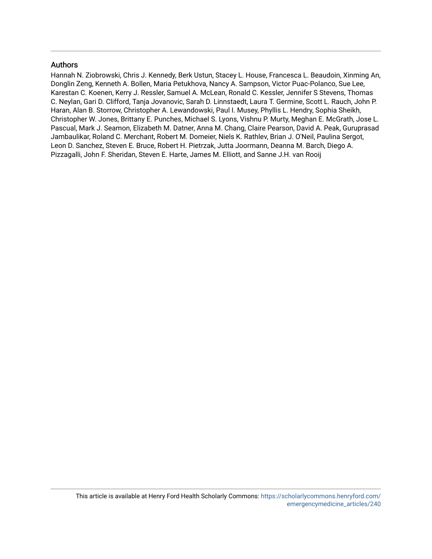### Authors

Hannah N. Ziobrowski, Chris J. Kennedy, Berk Ustun, Stacey L. House, Francesca L. Beaudoin, Xinming An, Donglin Zeng, Kenneth A. Bollen, Maria Petukhova, Nancy A. Sampson, Victor Puac-Polanco, Sue Lee, Karestan C. Koenen, Kerry J. Ressler, Samuel A. McLean, Ronald C. Kessler, Jennifer S Stevens, Thomas C. Neylan, Gari D. Clifford, Tanja Jovanovic, Sarah D. Linnstaedt, Laura T. Germine, Scott L. Rauch, John P. Haran, Alan B. Storrow, Christopher A. Lewandowski, Paul I. Musey, Phyllis L. Hendry, Sophia Sheikh, Christopher W. Jones, Brittany E. Punches, Michael S. Lyons, Vishnu P. Murty, Meghan E. McGrath, Jose L. Pascual, Mark J. Seamon, Elizabeth M. Datner, Anna M. Chang, Claire Pearson, David A. Peak, Guruprasad Jambaulikar, Roland C. Merchant, Robert M. Domeier, Niels K. Rathlev, Brian J. O'Neil, Paulina Sergot, Leon D. Sanchez, Steven E. Bruce, Robert H. Pietrzak, Jutta Joormann, Deanna M. Barch, Diego A. Pizzagalli, John F. Sheridan, Steven E. Harte, James M. Elliott, and Sanne J.H. van Rooij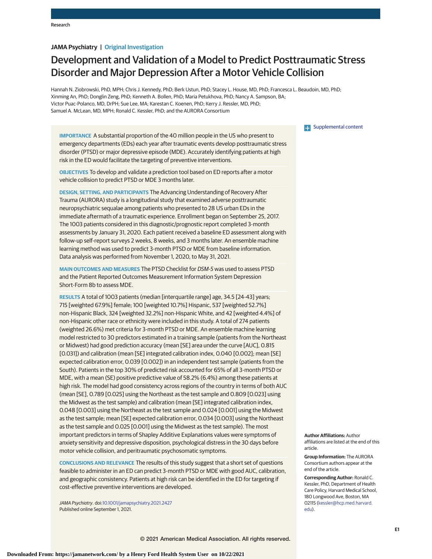#### **JAMA Psychiatry | Original Investigation**

## Development and Validation of a Model to Predict Posttraumatic Stress Disorder and Major Depression After a Motor Vehicle Collision

Hannah N. Ziobrowski, PhD, MPH; Chris J. Kennedy, PhD; Berk Ustun, PhD; Stacey L. House, MD, PhD; Francesca L. Beaudoin, MD, PhD; Xinming An, PhD; Donglin Zeng, PhD; Kenneth A. Bollen, PhD; Maria Petukhova, PhD; Nancy A. Sampson, BA; Victor Puac-Polanco, MD, DrPH; Sue Lee, MA; Karestan C. Koenen, PhD; Kerry J. Ressler, MD, PhD; Samuel A. McLean, MD, MPH; Ronald C. Kessler, PhD; and the AURORA Consortium

**IMPORTANCE** A substantial proportion of the 40 million people in the US who present to emergency departments (EDs) each year after traumatic events develop posttraumatic stress disorder (PTSD) or major depressive episode (MDE). Accurately identifying patients at high risk in the ED would facilitate the targeting of preventive interventions.

**OBJECTIVES** To develop and validate a prediction tool based on ED reports after a motor vehicle collision to predict PTSD or MDE 3 months later.

**DESIGN, SETTING, AND PARTICIPANTS** The Advancing Understanding of Recovery After Trauma (AURORA) study is a longitudinal study that examined adverse posttraumatic neuropsychiatric sequalae among patients who presented to 28 US urban EDs in the immediate aftermath of a traumatic experience. Enrollment began on September 25, 2017. The 1003 patients considered in this diagnostic/prognostic report completed 3-month assessments by January 31, 2020. Each patient received a baseline ED assessment along with follow-up self-report surveys 2 weeks, 8 weeks, and 3 months later. An ensemble machine learning method was used to predict 3-month PTSD or MDE from baseline information. Data analysis was performed from November 1, 2020, to May 31, 2021.

**MAIN OUTCOMES AND MEASURES** The PTSD Checklist for DSM-5 was used to assess PTSD and the Patient Reported Outcomes Measurement Information System Depression Short-Form 8b to assess MDE.

**RESULTS** A total of 1003 patients (median [interquartile range] age, 34.5 [24-43] years; 715 [weighted 67.9%] female; 100 [weighted 10.7%] Hispanic, 537 [weighted 52.7%] non-Hispanic Black, 324 [weighted 32.2%] non-Hispanic White, and 42 [weighted 4.4%] of non-Hispanic other race or ethnicity were included in this study. A total of 274 patients (weighted 26.6%) met criteria for 3-month PTSD or MDE. An ensemble machine learning model restricted to 30 predictors estimated in a training sample (patients from the Northeast or Midwest) had good prediction accuracy (mean [SE] area under the curve [AUC], 0.815 [0.031]) and calibration (mean [SE] integrated calibration index, 0.040 [0.002]; mean [SE] expected calibration error, 0.039 [0.002]) in an independent test sample (patients from the South). Patients in the top 30% of predicted risk accounted for 65% of all 3-month PTSD or MDE, with a mean (SE) positive predictive value of 58.2% (6.4%) among these patients at high risk. The model had good consistency across regions of the country in terms of both AUC (mean [SE], 0.789 [0.025] using the Northeast as the test sample and 0.809 [0.023] using the Midwest as the test sample) and calibration (mean [SE] integrated calibration index, 0.048 [0.003] using the Northeast as the test sample and 0.024 [0.001] using the Midwest as the test sample; mean [SE] expected calibration error, 0.034 [0.003] using the Northeast as the test sample and 0.025 [0.001] using the Midwest as the test sample). The most important predictors in terms of Shapley Additive Explanations values were symptoms of anxiety sensitivity and depressive disposition, psychological distress in the 30 days before motor vehicle collision, and peritraumatic psychosomatic symptoms.

**CONCLUSIONS AND RELEVANCE** The results of this study suggest that a short set of questions feasible to administer in an ED can predict 3-month PTSD or MDE with good AUC, calibration, and geographic consistency. Patients at high risk can be identified in the ED for targeting if cost-effective preventive interventions are developed.

JAMA Psychiatry. doi[:10.1001/jamapsychiatry.2021.2427](https://jamanetwork.com/journals/jama/fullarticle/10.1001/jamapsychiatry.2021.2427?utm_campaign=articlePDF%26utm_medium=articlePDFlink%26utm_source=articlePDF%26utm_content=jamapsychiatry.2021.2427) Published online September 1, 2021.

#### **E.** [Supplemental content](https://jamanetwork.com/journals/psy/fullarticle/10.1001/jamapsychiatry.2021.2427?utm_campaign=articlePDF%26utm_medium=articlePDFlink%26utm_source=articlePDF%26utm_content=jamapsychiatry.2021.2427)

**Author Affiliations:** Author affiliations are listed at the end of this article.

**Group Information:** The AURORA Consortium authors appear at the end of the article.

**Corresponding Author:** Ronald C. Kessler, PhD, Department of Health Care Policy, Harvard Medical School, 180 Longwood Ave, Boston, MA 02115 [\(kessler@hcp.med.harvard.](mailto:kessler@hcp.med.harvard.edu) [edu\)](mailto:kessler@hcp.med.harvard.edu).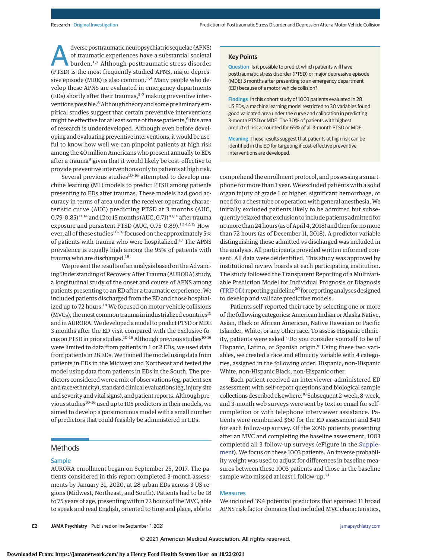A dverse posttraumatic neuropsychiatric sequelae (APNS) of traumatic experiences have a substantial societal burden.1,2 Although posttraumatic stress disorder (PTSD) is the most frequently studied APNS, major depressive episode (MDE) is also common.<sup>3,4</sup> Many people who develop these APNS are evaluated in emergency departments (EDs) shortly after their traumas, $5-7$  making preventive interventions possible.<sup>8</sup> Although theory and some preliminary empirical studies suggest that certain preventive interventions might be effective for at least some of these patients,<sup>6</sup> this area of research is underdeveloped. Although even before developing and evaluating preventive interventions, it would be useful to know how well we can pinpoint patients at high risk among the 40 million Americans who present annually to EDs after a trauma<sup>9</sup> given that it would likely be cost-effective to provide preventive interventions only to patients at high risk.

Several previous studies $10-16$  attempted to develop machine learning (ML) models to predict PTSD among patients presenting to EDs after traumas. These models had good accuracy in terms of area under the receiver operating characteristic curve (AUC) predicting PTSD at 3 months (AUC, 0.79-0.85)<sup>13,14</sup> and 12 to 15 months (AUC, 0.71)<sup>10,16</sup> after trauma exposure and persistent PTSD (AUC, 0.75-0.89).<sup>10-12,15</sup> However, all of these studies<sup>10-16</sup> focused on the approximately 5% of patients with trauma who were hospitalized.<sup>17</sup> The APNS prevalence is equally high among the 95% of patients with trauma who are discharged.<sup>18</sup>

We present the results of an analysis based on the Advancing Understanding of Recovery After Trauma (AURORA) study, a longitudinal study of the onset and course of APNS among patients presenting to an ED after a traumatic experience. We included patients discharged from the ED and those hospitalized up to 72 hours.<sup>18</sup> We focused on motor vehicle collisions (MVCs), the most common trauma in industrialized countries<sup>19</sup> and in AURORA. We developed a model to predict PTSD or MDE 3 months after the ED visit compared with the exclusive focus on PTSD in prior studies.<sup>10-16</sup> Although previous studies<sup>10-16</sup> were limited to data from patients in 1 or 2 EDs, we used data from patients in 28 EDs.We trained the model using data from patients in EDs in the Midwest and Northeast and tested the model using data from patients in EDs in the South. The predictors considered were a mix of observations (eg, patient sex and race/ethnicity), standard clinical evaluations (eg, injury site and severity and vital signs), and patient reports. Although previous studies<sup>10-16</sup> used up to 105 predictors in their models, we aimed to develop a parsimonious model with a small number of predictors that could feasibly be administered in EDs.

#### Methods

#### **Sample**

AURORA enrollment began on September 25, 2017. The patients considered in this report completed 3-month assessments by January 31, 2020, at 28 urban EDs across 3 US regions (Midwest, Northeast, and South). Patients had to be 18 to 75 years of age, presenting within 72 hours of the MVC, able to speak and read English, oriented to time and place, able to **Key Points**

**Question** Is it possible to predict which patients will have posttraumatic stress disorder (PTSD) or major depressive episode (MDE) 3 months after presenting to an emergency department (ED) because of a motor vehicle collision?

**Findings** In this cohort study of 1003 patients evaluated in 28 US EDs, a machine learning model restricted to 30 variables found good validated area under the curve and calibration in predicting 3-month PTSD or MDE. The 30% of patients with highest predicted risk accounted for 65% of all 3-month PTSD or MDE.

**Meaning** These results suggest that patients at high risk can be identified in the ED for targeting if cost-effective preventive interventions are developed.

comprehend the enrollment protocol, and possessing a smartphone for more than 1 year. We excluded patients with a solid organ injury of grade 1 or higher, significant hemorrhage, or need for a chest tube or operation with general anesthesia.We initially excluded patients likely to be admitted but subsequently relaxed that exclusion to include patients admitted for nomore than 24 hours (as of April 4, 2018) and then for nomore than 72 hours (as of December 11, 2018). A predictor variable distinguishing those admitted vs discharged was included in the analysis. All participants provided written informed consent. All data were deidentified. This study was approved by institutional review boards at each participating institution. The study followed the Transparent Reporting of a Multivariable Prediction Model for Individual Prognosis or Diagnosis [\(TRIPOD\)](https://www.equator-network.org/reporting-guidelines/tripod-statement/) reporting guideline20 for reporting analyses designed to develop and validate predictive models.

Patients self-reported their race by selecting one or more of the following categories: American Indian or Alaska Native, Asian, Black or African American, Native Hawaiian or Pacific Islander, White, or any other race. To assess Hispanic ethnicity, patients were asked "Do you consider yourself to be of Hispanic, Latino, or Spanish origin." Using these two variables, we created a race and ethnicity variable with 4 categories, assigned in the following order: Hispanic, non-Hispanic White, non-Hispanic Black, non-Hispanic other.

Each patient received an interviewer-administered ED assessment with self-report questions and biological sample collections described elsewhere.18 Subsequent 2-week, 8-week, and 3-month web surveys were sent by text or email for selfcompletion or with telephone interviewer assistance. Patients were reimbursed \$60 for the ED assessment and \$40 for each follow-up survey. Of the 2096 patients presenting after an MVC and completing the baseline assessment, 1003 completed all 3 follow-up surveys (eFigure in the [Supple](https://jamanetwork.com/journals/jama/fullarticle/10.1001/jamapsychiatry.2021.2427?utm_campaign=articlePDF%26utm_medium=articlePDFlink%26utm_source=articlePDF%26utm_content=jamapsychiatry.2021.2427)[ment\)](https://jamanetwork.com/journals/jama/fullarticle/10.1001/jamapsychiatry.2021.2427?utm_campaign=articlePDF%26utm_medium=articlePDFlink%26utm_source=articlePDF%26utm_content=jamapsychiatry.2021.2427). We focus on these 1003 patients. An inverse probability weight was used to adjust for differences in baseline measures between these 1003 patients and those in the baseline sample who missed at least 1 follow-up.<sup>21</sup>

#### **Measures**

We included 394 potential predictors that spanned 11 broad APNS risk factor domains that included MVC characteristics,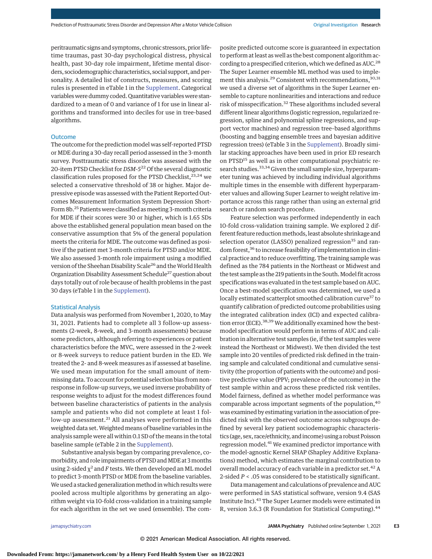peritraumatic signs and symptoms, chronic stressors, prior lifetime traumas, past 30-day psychological distress, physical health, past 30-day role impairment, lifetime mental disorders, sociodemographic characteristics, social support, and personality. A detailed list of constructs, measures, and scoring rules is presented in eTable 1 in the [Supplement.](https://jamanetwork.com/journals/jama/fullarticle/10.1001/jamapsychiatry.2021.2427?utm_campaign=articlePDF%26utm_medium=articlePDFlink%26utm_source=articlePDF%26utm_content=jamapsychiatry.2021.2427) Categorical variables were dummy coded. Quantitative variables were standardized to a mean of 0 and variance of 1 for use in linear algorithms and transformed into deciles for use in tree-based algorithms.

#### **Outcome**

The outcome for the prediction model was self-reported PTSD or MDE during a 30-day recall period assessed in the 3-month survey. Posttraumatic stress disorder was assessed with the 20-item PTSD Checklist for *DSM-5*<sup>22</sup> Of the several diagnostic classification rules proposed for the PTSD Checklist, $23,24$  we selected a conservative threshold of 38 or higher. Major depressive episode was assessed with the Patient Reported Outcomes Measurement Information System Depression Short-Form 8b.<sup>25</sup> Patients were classified as meeting 3-month criteria for MDE if their scores were 30 or higher, which is 1.65 SDs above the established general population mean based on the conservative assumption that 5% of the general population meets the criteria for MDE. The outcome was defined as positive if the patient met 3-month criteria for PTSD and/or MDE. We also assessed 3-month role impairment using a modified version of the Sheehan Disability Scale<sup>26</sup> and the World Health Organization Disability Assessment Schedule<sup>27</sup> question about days totally out of role because of health problems in the past 30 days (eTable 1 in the [Supplement\)](https://jamanetwork.com/journals/jama/fullarticle/10.1001/jamapsychiatry.2021.2427?utm_campaign=articlePDF%26utm_medium=articlePDFlink%26utm_source=articlePDF%26utm_content=jamapsychiatry.2021.2427).

#### Statistical Analysis

Data analysis was performed from November 1, 2020, to May 31, 2021. Patients had to complete all 3 follow-up assessments (2-week, 8-week, and 3-month assessments) because some predictors, although referring to experiences or patient characteristics before the MVC, were assessed in the 2-week or 8-week surveys to reduce patient burden in the ED. We treated the 2- and 8-week measures as if assessed at baseline. We used mean imputation for the small amount of itemmissing data. To account for potential selection bias from nonresponse in follow-up surveys, we used inverse probability of response weights to adjust for the modest differences found between baseline characteristics of patients in the analysis sample and patients who did not complete at least 1 follow-up assessment.<sup>21</sup> All analyses were performed in this weighted data set. Weighted means of baseline variables in the analysis sample were all within 0.1 SD of the means in the total baseline sample (eTable 2 in the [Supplement\)](https://jamanetwork.com/journals/jama/fullarticle/10.1001/jamapsychiatry.2021.2427?utm_campaign=articlePDF%26utm_medium=articlePDFlink%26utm_source=articlePDF%26utm_content=jamapsychiatry.2021.2427).

Substantive analysis began by comparing prevalence, comorbidity, and role impairments of PTSD and MDE at 3 months using 2-sided  $\chi^2$  and *F* tests. We then developed an ML model to predict 3-month PTSD or MDE from the baseline variables. We used a stacked generalization method in which results were pooled across multiple algorithms by generating an algorithm weight via 10-fold cross-validation in a training sample for each algorithm in the set we used (ensemble). The composite predicted outcome score is guaranteed in expectation to perform at least as well as the best component algorithm according to a prespecified criterion, which we defined as AUC.<sup>28</sup> The Super Learner ensemble ML method was used to implement this analysis.<sup>29</sup> Consistent with recommendations,<sup>30,31</sup> we used a diverse set of algorithms in the Super Learner ensemble to capture nonlinearities and interactions and reduce risk of misspecification.<sup>32</sup> These algorithms included several different linear algorithms (logistic regression, regularized regression, spline and polynomial spline regressions, and support vector machines) and regression tree–based algorithms (boosting and bagging ensemble trees and bayesian additive regression trees) (eTable 3 in the [Supplement\)](https://jamanetwork.com/journals/jama/fullarticle/10.1001/jamapsychiatry.2021.2427?utm_campaign=articlePDF%26utm_medium=articlePDFlink%26utm_source=articlePDF%26utm_content=jamapsychiatry.2021.2427). Broadly similar stacking approaches have been used in prior ED research on PTSD<sup>15</sup> as well as in other computational psychiatric research studies.<sup>33,34</sup> Given the small sample size, hyperparameter tuning was achieved by including individual algorithms multiple times in the ensemble with different hyperparameter values and allowing Super Learner to weight relative importance across this range rather than using an external grid search or random search procedure.

Feature selection was performed independently in each 10-fold cross-validation training sample. We explored 2 different feature reduction methods, least absolute shrinkage and selection operator (LASSO) penalized regression<sup>35</sup> and random forest,<sup>36</sup> to increase feasibility of implementation in clinical practice and to reduce overfitting. The training sample was defined as the 784 patients in the Northeast or Midwest and the test sample as the 219 patients in the South. Model fit across specifications was evaluated in the test sample based on AUC. Once a best-model specification was determined, we used a locally estimated scatterplot smoothed calibration curve<sup>37</sup> to quantify calibration of predicted outcome probabilities using the integrated calibration index (ICI) and expected calibration error (ECE).<sup>38,39</sup> We additionally examined how the bestmodel specification would perform in terms of AUC and calibration in alternative test samples (ie, if the test samples were instead the Northeast or Midwest). We then divided the test sample into 20 ventiles of predicted risk defined in the training sample and calculated conditional and cumulative sensitivity (the proportion of patients with the outcome) and positive predictive value (PPV; prevalence of the outcome) in the test sample within and across these predicted risk ventiles. Model fairness, defined as whether model performance was comparable across important segments of the population,<sup>40</sup> was examined by estimating variation in the association of predicted risk with the observed outcome across subgroups defined by several key patient sociodemographic characteristics (age, sex, race/ethnicity, and income) using a robust Poisson regression model.<sup>41</sup> We examined predictor importance with the model-agnostic Kernel SHAP (Shapley Additive Explanations) method, which estimates the marginal contribution to overall model accuracy of each variable in a predictor set.<sup>42</sup> A 2-sided *P* < .05 was considered to be statistically significant.

Datamanagement and calculations of prevalence and AUC were performed in SAS statistical software, version 9.4 (SAS Institute Inc).<sup>43</sup> The Super Learner models were estimated in R, version 3.6.3 (R Foundation for Statistical Computing).<sup>44</sup>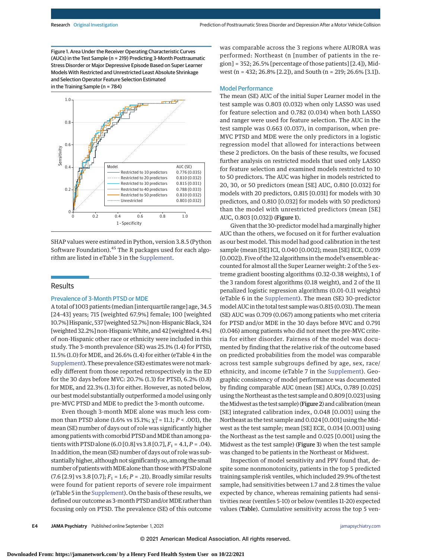Figure 1. Area Under the Receiver Operating Characteristic Curves (AUCs) in the Test Sample (n = 219) Predicting 3-Month Posttraumatic Stress Disorder or Major Depressive Episode Based on Super Learner Models With Restricted and Unrestricted Least Absolute Shrinkage and Selection Operator Feature Selection Estimated in the Training Sample (n = 784)



SHAP values were estimated in Python, version 3.8.5 (Python Software Foundation).45 The R packages used for each algorithm are listed in eTable 3 in the [Supplement.](https://jamanetwork.com/journals/jama/fullarticle/10.1001/jamapsychiatry.2021.2427?utm_campaign=articlePDF%26utm_medium=articlePDFlink%26utm_source=articlePDF%26utm_content=jamapsychiatry.2021.2427)

#### Results

#### Prevalence of 3-Month PTSD or MDE

A total of 1003 patients (median [interquartile range] age, 34.5 [24-43] years; 715 [weighted 67.9%] female; 100 [weighted 10.7%] Hispanic, 537 [weighted 52.7%] non-Hispanic Black, 324 [weighted 32.2%] non-HispanicWhite, and 42 [weighted 4.4%] of non-Hispanic other race or ethnicity were included in this study. The 3-month prevalence (SE) was 25.1% (1.4) for PTSD, 11.5% (1.0) for MDE, and 26.6% (1.4) for either (eTable 4 in the [Supplement\)](https://jamanetwork.com/journals/jama/fullarticle/10.1001/jamapsychiatry.2021.2427?utm_campaign=articlePDF%26utm_medium=articlePDFlink%26utm_source=articlePDF%26utm_content=jamapsychiatry.2021.2427). These prevalence (SE) estimates were not markedly different from those reported retrospectively in the ED for the 30 days before MVC: 20.7% (1.3) for PTSD, 6.2% (0.8) for MDE, and 22.3% (1.3) for either. However, as noted below, our bestmodel substantially outperformed amodel using only pre-MVC PTSD and MDE to predict the 3-month outcome.

Even though 3-month MDE alone was much less common than PTSD alone (1.6% vs 15.1%; χ<sup>2</sup> = 11.1; *P* < .001), the mean (SE) number of days out of role was significantly higher among patients with comorbid PTSD and MDE than among patients with PTSD alone (6.0 [0.8] vs 3.8 [0.7],  $F_1 = 4.1$ ,  $P = .04$ ). In addition, the mean (SE) number of days out of role was substantially higher, although not significantly so, among the small number of patients with MDE alone than those with PTSD alone (7.6 [2.9] vs 3.8 [0.7]; *F*<sup>1</sup> = 1.6; *P* = .21). Broadly similar results were found for patient reports of severe role impairment (eTable 5 in the [Supplement\)](https://jamanetwork.com/journals/jama/fullarticle/10.1001/jamapsychiatry.2021.2427?utm_campaign=articlePDF%26utm_medium=articlePDFlink%26utm_source=articlePDF%26utm_content=jamapsychiatry.2021.2427). On the basis of these results, we defined our outcome as 3-month PTSD and/or MDE rather than focusing only on PTSD. The prevalence (SE) of this outcome was comparable across the 3 regions where AURORA was performed: Northeast (n [number of patients in the region] = 352; 26.5% [percentage of those patients] [2.4]), Midwest (n = 432; 26.8% [2.2]), and South (n = 219; 26.6% [3.1]).

#### Model Performance

The mean (SE) AUC of the initial Super Learner model in the test sample was 0.803 (0.032) when only LASSO was used for feature selection and 0.782 (0.034) when both LASSO and ranger were used for feature selection. The AUC in the test sample was 0.663 (0.037), in comparison, when pre-MVC PTSD and MDE were the only predictors in a logistic regression model that allowed for interactions between these 2 predictors. On the basis of these results, we focused further analysis on restricted models that used only LASSO for feature selection and examined models restricted to 10 to 50 predictors. The AUC was higher in models restricted to 20, 30, or 50 predictors (mean [SE] AUC, 0.810 [0.032] for models with 20 predictors, 0.815 [0.031] for models with 30 predictors, and 0.810 [0.032] for models with 50 predictors) than the model with unrestricted predictors (mean [SE] AUC, 0.803 [0.032]) (Figure 1).

Given that the 30-predictor model had a marginally higher AUC than the others, we focused on it for further evaluation as our best model. This model had good calibration in the test sample (mean [SE] ICI, 0.040 [0.002]; mean [SE] ECE, 0.039 [0.002]). Five of the 32 algorithms in themodel's ensemble accounted for almost all the Super Learner weight: 2 of the 5 extreme gradient boosting algorithms (0.32-0.38 weights), 1 of the 3 random forest algorithms (0.18 weight), and 2 of the 11 penalized logistic regression algorithms (0.01-0.11 weights) (eTable 6 in the [Supplement\)](https://jamanetwork.com/journals/jama/fullarticle/10.1001/jamapsychiatry.2021.2427?utm_campaign=articlePDF%26utm_medium=articlePDFlink%26utm_source=articlePDF%26utm_content=jamapsychiatry.2021.2427). The mean (SE) 30-predictor model AUC in the total test sample was 0.815 (0.031). Themean (SE) AUC was 0.709 (0.067) among patients who met criteria for PTSD and/or MDE in the 30 days before MVC and 0.791 (0.046) among patients who did not meet the pre-MVC criteria for either disorder. Fairness of the model was documented by finding that the relative risk of the outcome based on predicted probabilities from the model was comparable across test sample subgroups defined by age, sex, race/ ethnicity, and income (eTable 7 in the [Supplement\)](https://jamanetwork.com/journals/jama/fullarticle/10.1001/jamapsychiatry.2021.2427?utm_campaign=articlePDF%26utm_medium=articlePDFlink%26utm_source=articlePDF%26utm_content=jamapsychiatry.2021.2427). Geographic consistency of model performance was documented by finding comparable AUC (mean [SE] AUCs, 0.789 [0.025] using the Northeast as the test sample and 0.809 [0.023] using the Midwest as the test sample) (Figure 2) and calibration (mean [SE] integrated calibration index, 0.048 [0.003] using the Northeast as the test sample and 0.024 [0.001] using the Midwest as the test sample; mean [SE] ECE, 0.034 [0.003] using the Northeast as the test sample and 0.025 [0.001] using the Midwest as the test sample) (Figure 3) when the test sample was changed to be patients in the Northeast or Midwest.

Inspection of model sensitivity and PPV found that, despite some nonmonotonicity, patients in the top 5 predicted training sample risk ventiles, which included 29.9% of the test sample, had sensitivities between 1.7 and 2.8 times the value expected by chance, whereas remaining patients had sensitivities near (ventiles 5-10) or below (ventiles 11-20) expected values (Table). Cumulative sensitivity across the top 5 ven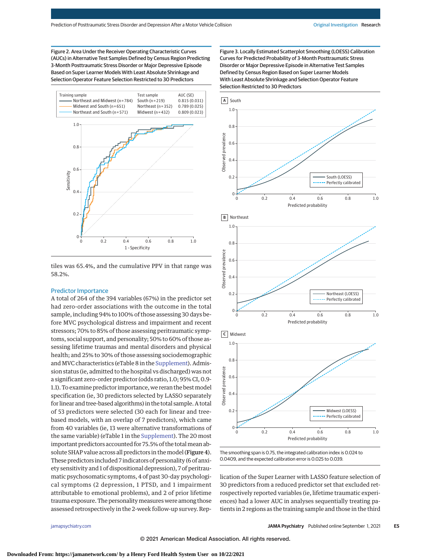Figure 2. Area Under the Receiver Operating Characteristic Curves (AUCs) in Alternative Test Samples Defined by Census Region Predicting 3-Month Posttraumatic Stress Disorder or Major Depressive Episode Based on Super Learner Models With Least Absolute Shrinkage and Selection Operator Feature Selection Restricted to 30 Predictors



tiles was 65.4%, and the cumulative PPV in that range was 58.2%.

#### Predictor Importance

A total of 264 of the 394 variables (67%) in the predictor set had zero-order associations with the outcome in the total sample, including 94% to 100% of those assessing 30 days before MVC psychological distress and impairment and recent stressors; 70% to 85% of those assessing peritraumatic symptoms, social support, and personality; 50% to 60% of those assessing lifetime traumas and mental disorders and physical health; and 25% to 30% of those assessing sociodemographic and MVC characteristics (eTable 8 in the [Supplement\)](https://jamanetwork.com/journals/jama/fullarticle/10.1001/jamapsychiatry.2021.2427?utm_campaign=articlePDF%26utm_medium=articlePDFlink%26utm_source=articlePDF%26utm_content=jamapsychiatry.2021.2427). Admission status (ie, admitted to the hospital vs discharged) was not a significant zero-order predictor (odds ratio, 1.0; 95% CI, 0.9- 1.1). To examine predictor importance, we reran the best model specification (ie, 30 predictors selected by LASSO separately for linear and tree-based algorithms) in the total sample. A total of 53 predictors were selected (30 each for linear and treebased models, with an overlap of 7 predictors), which came from 40 variables (ie, 13 were alternative transformations of the same variable) (eTable 1 in the [Supplement\)](https://jamanetwork.com/journals/jama/fullarticle/10.1001/jamapsychiatry.2021.2427?utm_campaign=articlePDF%26utm_medium=articlePDFlink%26utm_source=articlePDF%26utm_content=jamapsychiatry.2021.2427). The 20 most important predictors accounted for 75.5% of the total mean absolute SHAP value across all predictors in themodel (Figure 4). These predictors included 7 indicators of personality (6 of anxiety sensitivity and 1 of dispositional depression), 7 of peritraumatic psychosomatic symptoms, 4 of past 30-day psychological symptoms (2 depression, 1 PTSD, and 1 impairment attributable to emotional problems), and 2 of prior lifetime trauma exposure. The personalitymeasures were among those assessed retrospectively in the 2-week follow-up survey. RepFigure 3. Locally Estimated Scatterplot Smoothing (LOESS) Calibration Curves for Predicted Probability of 3-Month Posttraumatic Stress Disorder or Major Depressive Episode in Alternative Test Samples Defined by Census Region Based on Super Learner Models With Least Absolute Shrinkage and Selection Operator Feature Selection Restricted to 30 Predictors



The smoothing span is 0.75, the integrated calibration index is 0.024 to 0.0409, and the expected calibration error is 0.025 to 0.039.

lication of the Super Learner with LASSO feature selection of 30 predictors from a reduced predictor set that excluded retrospectively reported variables (ie, lifetime traumatic experiences) had a lower AUC in analyses sequentially treating patients in 2 regions as the training sample and those in the third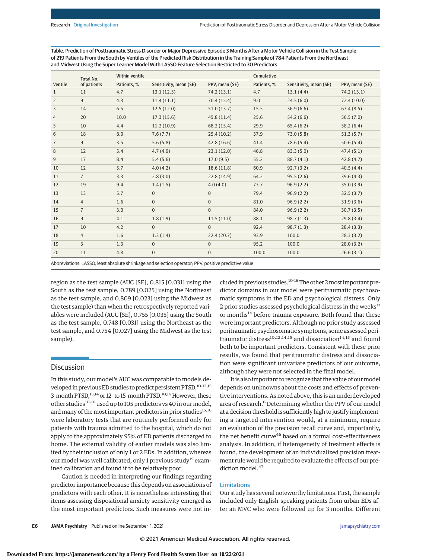| Table. Prediction of Posttraumatic Stress Disorder or Major Depressive Episode 3 Months After a Motor Vehicle Collision in the Test Sample |
|--------------------------------------------------------------------------------------------------------------------------------------------|
| of 219 Patients From the South by Ventiles of the Predicted Risk Distribution in the Training Sample of 784 Patients From the Northeast    |
| and Midwest Using the Super Learner Model With LASSO Feature Selection Restricted to 30 Predictors                                         |

|                | Total No.      | Within ventile |                        |                | Cumulative  |                        |                |
|----------------|----------------|----------------|------------------------|----------------|-------------|------------------------|----------------|
| Ventile        | of patients    | Patients, %    | Sensitivity, mean (SE) | PPV, mean (SE) | Patients, % | Sensitivity, mean (SE) | PPV, mean (SE) |
| $\mathbf{1}$   | 11             | 4.7            | 13.1(12.5)             | 74.2 (13.1)    | 4.7         | 13.1(4.4)              | 74.2 (13.1)    |
| $\overline{2}$ | 9              | 4.3            | 11.4(11.1)             | 70.4(15.4)     | 9.0         | 24.5(6.0)              | 72.4(10.0)     |
| 3              | 14             | 6.5            | 12.5(12.0)             | 51.0(13.7)     | 15.5        | 36.9(6.6)              | 63.4(8.5)      |
| $\overline{4}$ | 20             | 10.0           | 17.3(15.6)             | 45.8(11.4)     | 25.6        | 54.2(6.6)              | 56.5(7.0)      |
| 5              | 10             | 4.4            | 11.2(10.9)             | 68.2 (15.4)    | 29.9        | 65.4(6.2)              | 58.2(6.4)      |
| 6              | 18             | 8.0            | 7.6(7.7)               | 25.4(10.2)     | 37.9        | 73.0(5.8)              | 51.3(5.7)      |
| $\overline{7}$ | 9              | 3.5            | 5.6(5.8)               | 42.8(16.6)     | 41.4        | 78.6(5.4)              | 50.6(5.4)      |
| 8              | 12             | 5.4            | 4.7(4.9)               | 23.1(12.0)     | 46.8        | 83.3(5.0)              | 47.4(5.1)      |
| 9              | 17             | 8.4            | 5.4(5.6)               | 17.0(9.5)      | 55.2        | 88.7(4.1)              | 42.8(4.7)      |
| 10             | 12             | 5.7            | 4.0(4.2)               | 18.6(11.8)     | 60.9        | 92.7(3.2)              | 40.5(4.4)      |
| 11             | $7^{\circ}$    | 3.3            | 2.8(3.0)               | 22.8(14.9)     | 64.2        | 95.5(2.6)              | 39.6(4.3)      |
| 12             | 19             | 9.4            | 1.4(1.5)               | 4.0(4.0)       | 73.7        | 96.9(2.2)              | 35.0(3.9)      |
| 13             | 13             | 5.7            | $\mathbf{0}$           | $\mathbf 0$    | 79.4        | 96.9(2.2)              | 32.5(3.7)      |
| 14             | $\overline{4}$ | 1.6            | $\overline{0}$         | $\mathbf{0}$   | 81.0        | 96.9(2.2)              | 31.9(3.6)      |
| 15             | $\overline{7}$ | 3.0            | $\mathbf{0}$           | $\mathbf{0}$   | 84.0        | 96.9(2.2)              | 30.7(3.5)      |
| 16             | 9              | 4.1            | 1.8(1.9)               | 11.5(11.0)     | 88.1        | 98.7(1.3)              | 29.8(3.4)      |
| 17             | 10             | 4.2            | $\mathbf{0}$           | $\mathbf{0}$   | 92.4        | 98.7(1.3)              | 28.4(3.3)      |
| 18             | $\overline{4}$ | 1.6            | 1.3(1.4)               | 22.4(20.7)     | 93.9        | 100.0                  | 28.3(3.2)      |
| 19             | $\overline{3}$ | 1.3            | $\Omega$               | $\mathbf{0}$   | 95.2        | 100.0                  | 28.0(3.2)      |
| 20             | 11             | 4.8            | $\mathbf{0}$           | $\mathbf 0$    | 100.0       | 100.0                  | 26.6(3.1)      |

Abbreviations: LASSO, least absolute shrinkage and selection operator; PPV, positive predictive value.

region as the test sample (AUC [SE], 0.815 [0.031] using the South as the test sample, 0.789 [0.025] using the Northeast as the test sample, and 0.809 [0.023] using the Midwest as the test sample) than when the retrospectively reported variables were included (AUC [SE], 0.755 [0.035] using the South as the test sample, 0.748 [0.031] using the Northeast as the test sample, and 0.754 [0.027] using the Midwest as the test sample).

#### **Discussion**

In this study, our model's AUC was comparable to models developed in previous ED studies to predict persistent PTSD,<sup>10-12,15</sup> 3-month PTSD,<sup>13,14</sup> or 12- to 15-month PTSD.<sup>10,16</sup> However, these other studies<sup>10-16</sup> used up to 105 predictors vs 40 in our model, and many of the most important predictors in prior studies<sup>15,16</sup> were laboratory tests that are routinely performed only for patients with trauma admitted to the hospital, which do not apply to the approximately 95% of ED patients discharged to home. The external validity of earlier models was also limited by their inclusion of only 1 or 2 EDs. In addition, whereas our model was well calibrated, only 1 previous study<sup>15</sup> examined calibration and found it to be relatively poor.

Caution is needed in interpreting our findings regarding predictor importance because this depends on associations of predictors with each other. It is nonetheless interesting that items assessing dispositional anxiety sensitivity emerged as the most important predictors. Such measures were not included in previous studies.<sup>10-16</sup> The other 2 most important predictor domains in our model were peritraumatic psychosomatic symptoms in the ED and psychological distress. Only 2 prior studies assessed psychological distress in the weeks<sup>13</sup> or months<sup>14</sup> before trauma exposure. Both found that these were important predictors. Although no prior study assessed peritraumatic psychosomatic symptoms, some assessed peritraumatic distress<sup>10,12,14,15</sup> and dissociation<sup>14,15</sup> and found both to be important predictors. Consistent with these prior results, we found that peritraumatic distress and dissociation were significant univariate predictors of our outcome, although they were not selected in the final model.

It is also important to recognize that the value of ourmodel depends on unknowns about the costs and effects of preventive interventions. As noted above, this is an underdeveloped area of research.<sup>6</sup> Determining whether the PPV of our model at a decision threshold is sufficiently high to justify implementing a targeted intervention would, at a minimum, require an evaluation of the precision recall curve and, importantly, the net benefit curve<sup>46</sup> based on a formal cost-effectiveness analysis. In addition, if heterogeneity of treatment effects is found, the development of an individualized precision treatment rule would be required to evaluate the effects of our prediction model.<sup>47</sup>

#### Limitations

Our study has several noteworthy limitations. First, the sample included only English-speaking patients from urban EDs after an MVC who were followed up for 3 months. Different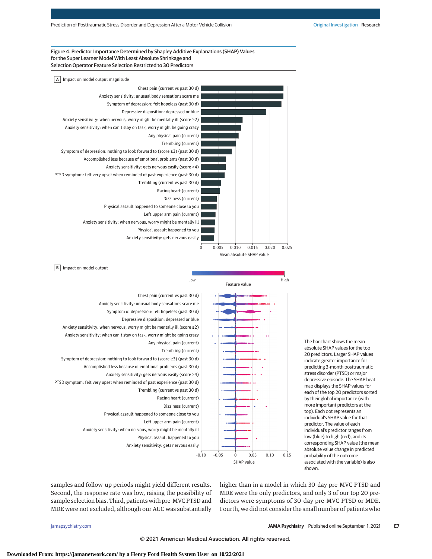#### Figure 4. Predictor Importance Determined by Shapley Additive Explanations (SHAP) Values for the Super Learner Model With Least Absolute Shrinkage and Selection Operator Feature Selection Restricted to 30 Predictors



The bar chart shows the mean absolute SHAP values for the top 20 predictors. Larger SHAP values indicate greater importance for predicting 3-month posttraumatic stress disorder (PTSD) or major depressive episode. The SHAP heat map displays the SHAP values for each of the top 20 predictors sorted by their global importance (with more important predictors at the top). Each dot represents an individual's SHAP value for that predictor. The value of each individual's predictor ranges from low (blue) to high (red), and its corresponding SHAP value (the mean absolute value change in predicted probability of the outcome associated with the variable) is also shown.

samples and follow-up periods might yield different results. Second, the response rate was low, raising the possibility of sample selection bias. Third, patients with pre-MVC PTSD and MDE were not excluded, although our AUC was substantially higher than in a model in which 30-day pre-MVC PTSD and MDE were the only predictors, and only 3 of our top 20 predictors were symptoms of 30-day pre-MVC PTSD or MDE. Fourth, we did not consider the small number of patients who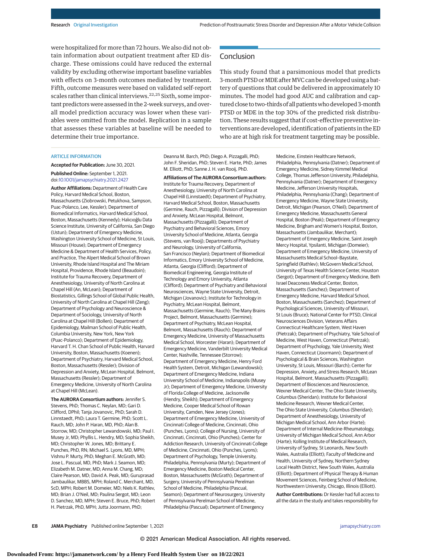were hospitalized for more than 72 hours. We also did not obtain information about outpatient treatment after ED discharge. These omissions could have reduced the external validity by excluding otherwise important baseline variables with effects on 3-month outcomes mediated by treatment. Fifth, outcome measures were based on validated self-report scales rather than clinical interviews.<sup>22,25</sup> Sixth, some important predictors were assessed in the 2-week surveys, and overall model prediction accuracy was lower when these variables were omitted from the model. Replication in a sample that assesses these variables at baseline will be needed to determine their true importance.

#### **Conclusion**

This study found that a parsimonious model that predicts 3-month PTSD or MDE after MVC can be developed using a battery of questions that could be delivered in approximately 10 minutes. The model had good AUC and calibration and captured close to two-thirds of all patientswho developed 3-month PTSD or MDE in the top 30% of the predicted risk distribution. These results suggest that if cost-effective preventive interventions are developed, identification of patients in the ED who are at high risk for treatment targeting may be possible.

#### ARTICLE INFORMATION

**Accepted for Publication:** June 30, 2021. **Published Online:** September 1, 2021.

doi[:10.1001/jamapsychiatry.2021.2427](https://jamanetwork.com/journals/jama/fullarticle/10.1001/jamapsychiatry.2021.2427?utm_campaign=articlePDF%26utm_medium=articlePDFlink%26utm_source=articlePDF%26utm_content=jamapsychiatry.2021.2427) **Author Affiliations:** Department of Health Care Policy, Harvard Medical School, Boston,

Massachusetts (Ziobrowski, Petukhova, Sampson, Puac-Polanco, Lee, Kessler); Department of Biomedical Informatics, Harvard Medical School, Boston, Massachusetts (Kennedy); Halıcıoğlu Data Science Institute, University of California, San Diego (Ustun); Department of Emergency Medicine, Washington University School of Medicine, St Louis, Missouri (House); Department of Emergency Medicine & Department of Health Services, Policy, and Practice, The Alpert Medical School of Brown University, Rhode Island Hospital and The Miriam Hospital, Providence, Rhode Island (Beaudoin); Institute for Trauma Recovery, Department of Anesthesiology, University of North Carolina at Chapel Hill (An, McLean); Department of Biostatistics, Gillings School of Global Public Health, University of North Carolina at Chapel Hill (Zeng); Department of Psychology and Neuroscience & Department of Sociology, University of North Carolina at Chapel Hill (Bollen); Department of Epidemiology, Mailman School of Public Health, Columbia University, New York, New York (Puac-Polanco); Department of Epidemiology, Harvard T. H. Chan School of Public Health, Harvard University, Boston, Massachusetts (Koenen); Department of Psychiatry, Harvard Medical School, Boston, Massachusetts (Ressler); Division of Depression and Anxiety, McLean Hospital, Belmont, Massachusetts (Ressler); Department of Emergency Medicine, University of North Carolina at Chapel Hill (McLean).

**The AURORA Consortium authors:** Jennifer S. Stevens, PhD; Thomas C. Neylan, MD; Gari D. Clifford, DPhil; Tanja Jovanovic, PhD; Sarah D. Linnstaedt, PhD; Laura T. Germine, PhD; Scott L. Rauch, MD; John P. Haran, MD, PhD; Alan B. Storrow, MD; Christopher Lewandowski, MD; Paul I. Musey Jr, MD; Phyllis L. Hendry, MD; Sophia Sheikh, MD; Christopher W. Jones, MD; Brittany E. Punches, PhD, RN; Michael S. Lyons, MD, MPH; Vishnu P. Murty, PhD; Meghan E. McGrath, MD; Jose L. Pascual, MD, PhD; Mark J. Seamon, MD; Elizabeth M. Datner, MD; Anna M. Chang, MD; Claire Pearson, MD; David A. Peak, MD; Guruprasad Jambaulikar, MBBS, MPH; Roland C. Merchant, MD, ScD, MPH; Robert M. Domeier, MD; Niels K. Rathlev, MD; Brian J. O'Neil, MD; Paulina Sergot, MD; Leon D. Sanchez, MD, MPH; Steven E. Bruce, PhD; Robert H. Pietrzak, PhD, MPH; Jutta Joormann, PhD;

Deanna M. Barch, PhD; Diego A. Pizzagalli, PhD; John F. Sheridan, PhD; Steven E. Harte, PhD; James M. Elliott, PhD; Sanne J. H. van Rooij, PhD.

**Affiliations of The AURORA Consortium authors:** Institute for Trauma Recovery, Department of Anesthesiology, University of North Carolina at Chapel Hill (Linnstaedt); Department of Psychiatry, Harvard Medical School, Boston, Massachusetts (Germine, Rauch, Pizzagalli); Division of Depression and Anxiety, McLean Hospital, Belmont, Massachusetts (Pizzagalli); Department of Psychiatry and Behavioral Sciences, Emory University School of Medicine, Atlanta, Georgia (Stevens, van Rooij); Departments of Psychiatry and Neurology, University of California, San Francisco (Neylan); Department of Biomedical Informatics, Emory University School of Medicine, Atlanta, Georgia (Clifford); Department of Biomedical Engineering, Georgia Institute of Technology and Emory University, Atlanta (Clifford); Department of Psychiatry and Behavioral Neurosciences, Wayne State University, Detroit, Michigan (Jovanovic); Institute for Technology in Psychiatry, McLean Hospital, Belmont, Massachusetts (Germine, Rauch); The Many Brains Project, Belmont, Massachusetts (Germine); Department of Psychiatry, McLean Hospital, Belmont, Massachusetts (Rauch); Department of Emergency Medicine, University of Massachusetts Medical School, Worcester (Haran); Department of Emergency Medicine, Vanderbilt University Medical Center, Nashville, Tennessee (Storrow); Department of Emergency Medicine, Henry Ford Health System, Detroit, Michigan (Lewandowski); Department of Emergency Medicine, Indiana University School of Medicine, Indianapolis (Musey Jr); Department of Emergency Medicine, University of Florida College of Medicine, Jacksonville (Hendry, Sheikh); Department of Emergency Medicine, Cooper Medical School of Rowan University, Camden, New Jersey (Jones); Department of Emergency Medicine, University of Cincinnati College of Medicine, Cincinnati, Ohio (Punches, Lyons); College of Nursing, University of Cincinnati, Cincinnati, Ohio (Punches); Center for Addiction Research, University of Cincinnati College of Medicine, Cincinnati, Ohio (Punches, Lyons); Department of Psychology, Temple University, Philadelphia, Pennsylvania (Murty); Department of Emergency Medicine, Boston Medical Center, Boston, Massachusetts (McGrath); Department of Surgery, University of Pennsylvania Perelman School of Medicine, Philadelphia (Pascual, Seamon); Department of Neurosurgery, University of Pennsylvania Perelman School of Medicine, Philadelphia (Pascual); Department of Emergency

Medicine, Einstein Healthcare Network, Philadelphia, Pennsylvania (Datner); Department of Emergency Medicine, Sidney Kimmel Medical College, Thomas Jefferson University, Philadelphia, Pennsylvania (Datner); Department of Emergency Medicine, Jefferson University Hospitals, Philadelphia, Pennsylvania (Chang); Department of Emergency Medicine, Wayne State University, Detroit, Michigan (Pearson, O'Neil); Department of Emergency Medicine, Massachusetts General Hospital, Boston (Peak); Department of Emergency Medicine, Brigham and Women's Hospital, Boston, Massachusetts (Jambaulikar, Merchant); Department of Emergency Medicine, Saint Joseph Mercy Hospital, Ypsilanti, Michigan (Domeier); Department of Emergency Medicine, University of Massachusetts Medical School–Baystate, Springfield (Rathlev); McGovern Medical School, University of Texas Health Science Center, Houston (Sergot); Department of Emergency Medicine, Beth Israel Deaconess Medical Center, Boston, Massachusetts (Sanchez); Department of Emergency Medicine, Harvard Medical School, Boston, Massachusetts (Sanchez); Department of Psychological Sciences, University of Missouri, St Louis (Bruce); National Center for PTSD, Clinical Neurosciences Division, Veterans Affairs Connecticut Healthcare System, West Haven (Pietrzak); Department of Psychiatry, Yale School of Medicine, West Haven, Connecticut (Pietrzak); Department of Psychology, Yale University, West Haven, Connecticut (Joormann); Department of Psychological & Brain Sciences, Washington University, St Louis, Missouri (Barch); Center for Depression, Anxiety, and Stress Research, McLean Hospital, Belmont, Massachusetts (Pizzagalli); Department of Biosciences and Neuroscience, Wexner Medical Center, The Ohio State University, Columbus (Sheridan); Institute for Behavioral Medicine Research, Wexner Medical Center, The Ohio State University, Columbus (Sheridan); Department of Anesthesiology, University of Michigan Medical School, Ann Arbor (Harte); Department of Internal Medicine-Rheumatology, University of Michigan Medical School, Ann Arbor (Harte); Kolling Institute of Medical Research, University of Sydney, St Leonards, New South Wales, Australia (Elliott); Faculty of Medicine and Health, University of Sydney, Northern Sydney Local Health District, New South Wales, Australia (Elliott); Department of Physical Therapy & Human Movement Sciences, Feinberg School of Medicine, Northwestern University, Chicago, Illinois (Elliott).

**Author Contributions:** Dr Kessler had full access to all the data in the study and takes responsibility for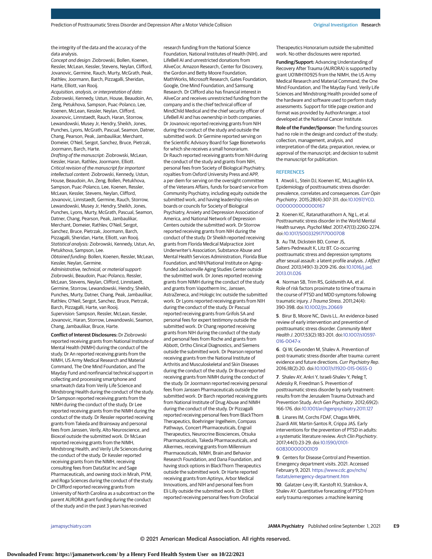the integrity of the data and the accuracy of the data analysis.

Concept and design: Ziobrowski, Bollen, Koenen, Ressler, McLean, Kessler, Stevens, Neylan, Clifford, Jovanovic, Germine, Rauch, Murty, McGrath, Peak, Rathlev, Joormann, Barch, Pizzagalli, Sheridan, Harte, Elliott, van Rooij.

Acquisition, analysis, or interpretation of data: Ziobrowski, Kennedy, Ustun, House, Beaudoin, An, Zeng, Petukhova, Sampson, Puac-Polanco, Lee, Koenen, McLean, Kessler, Neylan, Clifford, Jovanovic, Linnstaedt, Rauch, Haran, Storrow, Lewandowski, Musey Jr, Hendry, Sheikh, Jones, Punches, Lyons, McGrath, Pascual, Seamon, Datner, Chang, Pearson, Peak, Jambaulikar, Merchant, Domeier, O'Neil, Sergot, Sanchez, Bruce, Pietrzak, Joormann, Barch, Harte.

Drafting of the manuscript: Ziobrowski, McLean, Kessler, Haran, Rathlev, Joormann, Elliott. Critical revision of the manuscript for important intellectual content: Ziobrowski, Kennedy, Ustun, House, Beaudoin, An, Zeng, Bollen, Petukhova, Sampson, Puac-Polanco, Lee, Koenen, Ressler, McLean, Kessler, Stevens, Neylan, Clifford, Jovanovic, Linnstaedt, Germine, Rauch, Storrow, Lewandowski, Musey Jr, Hendry, Sheikh, Jones, Punches, Lyons, Murty, McGrath, Pascual, Seamon, Datner, Chang, Pearson, Peak, Jambaulikar, Merchant, Domeier, Rathlev, O'Neil, Sergot, Sanchez, Bruce, Pietrzak, Joormann, Barch, Pizzagalli, Sheridan, Harte, Elliott, van Rooij. Statistical analysis: Ziobrowski, Kennedy, Ustun, An, Petukhova, Sampson, Lee.

Obtained funding: Bollen, Koenen, Ressler, McLean, Kessler, Neylan, Germine.

Administrative, technical, or material support: Ziobrowski, Beaudoin, Puac-Polanco, Ressler, McLean, Stevens, Neylan, Clifford, Linnstaedt, Germine, Storrow, Lewandowski, Hendry, Sheikh, Punches, Murty, Datner, Chang, Peak, Jambaulikar, Rathlev, O'Neil, Sergot, Sanchez, Bruce, Pietrzak, Barch, Pizzagalli, Harte, van Rooij. Supervision: Sampson, Ressler, McLean, Kessler, Jovanovic, Haran, Storrow, Lewandowski, Seamon, Chang, Jambaulikar, Bruce, Harte.

**Conflict of Interest Disclosures:** Dr Ziobrowski reported receiving grants from National Institute of Mental Health (NIMH) during the conduct of the study. Dr An reported receiving grants from the NIMH, US Army Medical Research and Material Command, The One Mind Foundation, and The Mayday Fund and nonfinancial technical support in collecting and processing smartphone and smartwatch data from Verily Life Science and Mindstrong Health during the conduct of the study. Dr Sampson reported receiving grants from the NIMH during the conduct of the study. Dr Lee reported receiving grants from the NIMH during the conduct of the study. Dr Ressler reported receiving grants from Takeda and Brainsway and personal fees from Janssen, Verily, Alto Neuroscience, and Bioxcel outside the submitted work. Dr McLean reported receiving grants from the NIMH, Mindstrong Health, and Verily Life Sciences during the conduct of the study. Dr Kessler reported receiving grants from the NIMH, receiving consulting fees from DataStat Inc and Sage Pharmaceuticals, and owning stock in Mirah, PYM, and Roga Sciences during the conduct of the study. Dr Clifford reported receiving grants from University of North Carolina as a subcontract on the parent AURORA grant funding during the conduct of the study and in the past 3 years has received

research funding from the National Science Foundation, National Institutes of Health (NIH), and LifeBell AI and unrestricted donations from AliveCor, Amazon Research, Center for Discovery, the Gordon and Betty Moore Foundation, MathWorks, Microsoft Research, Gates Foundation, Google, One Mind Foundation, and Samsung Research. Dr Clifford also has financial interest in AliveCor and receives unrestricted funding from the company and is the chief technical officer of MindChild Medical and the chief security officer of LifeBell AI and has ownership in both companies. Dr Jovanovic reported receiving grants from NIH during the conduct of the study and outside the submitted work. Dr Germine reported serving on the Scientific Advisory Board for Sage Bionetworks for which she receives a small honorarium. Dr Rauch reported receiving grants from NIH during the conduct of the study and grants from NIH, personal fees from Society of Biological Psychiatry, royalties from Oxford University Press and APP, a per diem for serving on the oversight committee of the Veterans Affairs, funds for board service from Community Psychiatry, including equity outside the submitted work, and having leadership roles on boards or councils for Society of Biological Psychiatry, Anxiety and Depression Association of America, and National Network of Depression Centers outside the submitted work. Dr Storrow reported receiving grants from NIH during the conduct of the study. Dr Sheikh reported receiving grants from Florida Medical Malpractice Joint Underwriter's Association, Substance Abuse and Mental Health Services Administration, Florida Blue Foundation, and NIH/National Institute on Aging– funded Jacksonville Aging Studies Center outside the submitted work. Dr Jones reported receiving grants from NIMH during the conduct of the study and grants from Vapotherm Inc, Janssen, AstraZeneca, and Hologic Inc outside the submitted work. Dr Lyons reported receiving grants from NIH during the conduct of the study. Dr Pascual reported receiving grants from Grifols SA and personal fees for expert testimony outside the submitted work. Dr Chang reported receiving grants from NIH during the conduct of the study and personal fees from Roche and grants from Abbott, Ortho Clinical Diagnostics, and Siemens outside the submitted work. Dr Pearson reported receiving grants from the National Institute of Arthritis and Musculoskeletal and Skin Diseases during the conduct of the study. Dr Bruce reported receiving grants from NIMH during the conduct of the study. Dr Joormann reported receiving personal fees from Janssen Pharmaceuticals outside the submitted work. Dr Barch reported receiving grants from National Institute of Drug Abuse and NIMH during the conduct of the study. Dr Pizzagalli reported receiving personal fees from BlackThorn Therapeutics, Boehringer Ingelheim, Compass Pathways, Concert Pharmaceuticals, Engrail Therapeutics, Neurocrine Biosciences, Otsuka Pharmaceuticals, Takeda Pharmaceuticals, and Alkermes, receiving grants from Millennium Pharmaceuticals, NIMH, Brain and Behavior Research Foundation, and Dana Foundation, and having stock options in BlackThorn Therapeutics outside the submitted work. Dr Harte reported receiving grants from Aptinyx, Arbor Medical Innovations, and NIH and personal fees from Eli Lilly outside the submitted work. Dr Elliott reported receiving personal fees from Orofacial

Therapeutics Honorarium outside the submitted work. No other disclosures were reported.

**Funding/Support:** Advancing Understanding of Recovery After Trauma (AURORA) is supported by grant U01MH110925 from the NIMH, the US Army Medical Research and Material Command, the One Mind Foundation, and The Mayday Fund. Verily Life Sciences and Mindstrong Health provided some of the hardware and software used to perform study assessments. Support for title page creation and format was provided by AuthorArranger, a tool developed at the National Cancer Institute.

**Role of the Funder/Sponsor:** The funding sources had no role in the design and conduct of the study; collection, management, analysis, and interpretation of the data; preparation, review, or approval of the manuscript; and decision to submit the manuscript for publication.

#### **REFERENCES**

**1**. Atwoli L, Stein DJ, Koenen KC, McLaughlin KA. Epidemiology of posttraumatic stress disorder: prevalence, correlates and consequences. Curr Opin Psychiatry. 2015;28(4):307-311. doi[:10.1097/YCO.](https://dx.doi.org/10.1097/YCO.0000000000000167) [0000000000000167](https://dx.doi.org/10.1097/YCO.0000000000000167)

**2**. Koenen KC, Ratanatharathorn A, Ng L, et al. Posttraumatic stress disorder in the World Mental Health surveys. Psychol Med. 2017;47(13):2260-2274. doi[:10.1017/S0033291717000708](https://dx.doi.org/10.1017/S0033291717000708)

**3**. Au TM, Dickstein BD, Comer JS, Salters-Pedneault K, Litz BT. Co-occurring posttraumatic stress and depression symptoms after sexual assault: a latent profile analysis. J Affect Disord. 2013;149(1-3):209-216. doi[:10.1016/j.jad.](https://dx.doi.org/10.1016/j.jad.2013.01.026) [2013.01.026](https://dx.doi.org/10.1016/j.jad.2013.01.026)

**4**. Norman SB, Trim RS, Goldsmith AA, et al. Role of risk factors proximate to time of trauma in the course of PTSD and MDD symptoms following traumatic injury. J Trauma Stress. 2011;24(4): 390-398. doi[:10.1002/jts.20669](https://dx.doi.org/10.1002/jts.20669)

**5**. Birur B, Moore NC, Davis LL. An evidence-based review of early intervention and prevention of posttraumatic stress disorder. Community Ment Health J. 2017;53(2):183-201. doi[:10.1007/s10597-](https://dx.doi.org/10.1007/s10597-016-0047-x) [016-0047-x](https://dx.doi.org/10.1007/s10597-016-0047-x)

**6**. Qi W, Gevonden M, Shalev A. Prevention of post-traumatic stress disorder after trauma: current evidence and future directions. Curr Psychiatry Rep. 2016;18(2):20. doi[:10.1007/s11920-015-0655-0](https://dx.doi.org/10.1007/s11920-015-0655-0)

**7**. Shalev AY, Ankri Y, Israeli-Shalev Y, Peleg T, Adessky R, Freedman S. Prevention of posttraumatic stress disorder by early treatment: results from the Jerusalem Trauma Outreach and Prevention Study. Arch Gen Psychiatry. 2012;69(2): 166-176. doi[:10.1001/archgenpsychiatry.2011.127](https://jamanetwork.com/journals/jama/fullarticle/10.1001/archgenpsychiatry.2011.127?utm_campaign=articlePDF%26utm_medium=articlePDFlink%26utm_source=articlePDF%26utm_content=jamapsychiatry.2021.2427)

**8**. Linares IM, Corchs FDAF, Chagas MHN, Zuardi AW, Martin-Santos R, Crippa JAS. Early interventions for the prevention of PTSD in adults: a systematic literature review. Arch Clin Psychiatry. 2017;44(1):23-29. doi[:10.1590/0101-](https://dx.doi.org/10.1590/0101-60830000000109) [60830000000109](https://dx.doi.org/10.1590/0101-60830000000109)

**9**. Centers for Disease Control and Prevention. Emergency department visits. 2021. Accessed February 9, 2021. [https://www.cdc.gov/nchs/](https://www.cdc.gov/nchs/fastats/emergency-department.htm) [fastats/emergency-department.htm](https://www.cdc.gov/nchs/fastats/emergency-department.htm)

**10**. Galatzer-Levy IR, Karstoft KI, Statnikov A, Shalev AY. Quantitative forecasting of PTSD from early trauma responses: a machine learning